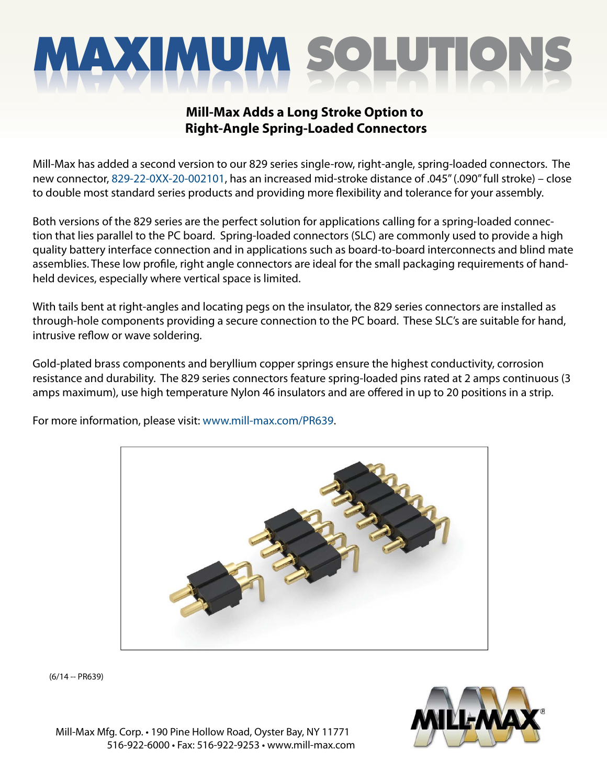# **MAXIMUM SOLUTIO**

### **Mill-Max Adds a Long Stroke Option to Right-Angle Spring-Loaded Connectors**

Mill-Max has added a second version to our 829 series single-row, right-angle, spring-loaded connectors. The new connector, [829-22-0XX-20-002101,](https://www.mill-max.com/products/socket/829-XX-XXX-20-002101) has an increased mid-stroke distance of .045" (.090" full stroke) – close to double most standard series products and providing more flexibility and tolerance for your assembly.

Both versions of the 829 series are the perfect solution for applications calling for a spring-loaded connection that lies parallel to the PC board. Spring-loaded connectors (SLC) are commonly used to provide a high quality battery interface connection and in applications such as board-to-board interconnects and blind mate assemblies. These low profile, right angle connectors are ideal for the small packaging requirements of handheld devices, especially where vertical space is limited.

With tails bent at right-angles and locating pegs on the insulator, the 829 series connectors are installed as through-hole components providing a secure connection to the PC board. These SLC's are suitable for hand, intrusive reflow or wave soldering.

Gold-plated brass components and beryllium copper springs ensure the highest conductivity, corrosion resistance and durability. The 829 series connectors feature spring-loaded pins rated at 2 amps continuous (3 amps maximum), use high temperature Nylon 46 insulators and are offered in up to 20 positions in a strip.

For more information, please visit: www.mill-max.com/PR639.



(6/14 -- PR639)